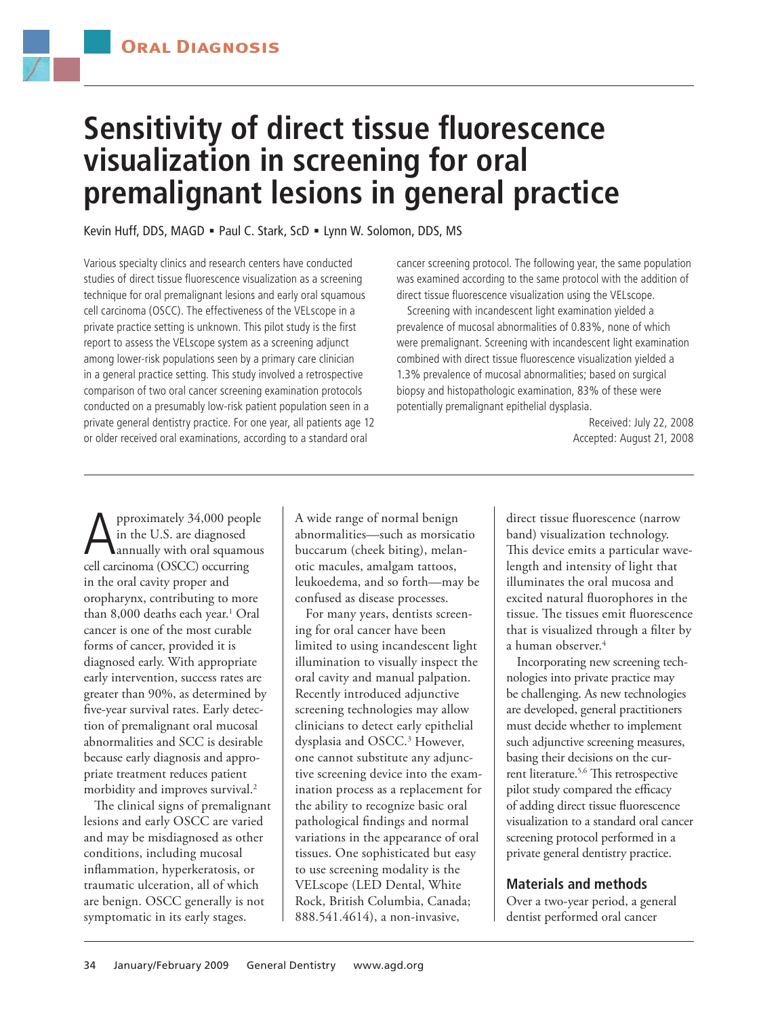

# **Sensitivity of direct tissue fluorescence visualization in screening for oral premalignant lesions in general practice**

Kevin Huff, DDS, MAGD = Paul C. Stark, ScD = Lynn W. Solomon, DDS, MS

Various specialty clinics and research centers have conducted studies of direct tissue fluorescence visualization as a screening technique for oral premalignant lesions and early oral squamous cell carcinoma (OSCC). The effectiveness of the VELscope in a private practice setting is unknown. This pilot study is the first report to assess the VELscope system as a screening adjunct among lower-risk populations seen by a primary care clinician in a general practice setting. This study involved a retrospective comparison of two oral cancer screening examination protocols conducted on a presumably low-risk patient population seen in a private general dentistry practice. For one year, all patients age 12 or older received oral examinations, according to a standard oral

cancer screening protocol. The following year, the same population was examined according to the same protocol with the addition of direct tissue fluorescence visualization using the VELscope.

Screening with incandescent light examination yielded a prevalence of mucosal abnormalities of 0.83%, none of which were premalignant. Screening with incandescent light examination combined with direct tissue fluorescence visualization yielded a 1.3% prevalence of mucosal abnormalities; based on surgical biopsy and histopathologic examination, 83% of these were potentially premalignant epithelial dysplasia.

> Received: July 22, 2008 Accepted: August 21, 2008

**A** pproximately 34,000 people<br>in the U.S. are diagnosed<br>call carginome (OSCC) occurring in the U.S. are diagnosed cell carcinoma (OSCC) occurring in the oral cavity proper and oropharynx, contributing to more than 8,000 deaths each year.<sup>1</sup> Oral cancer is one of the most curable forms of cancer, provided it is diagnosed early. With appropriate early intervention, success rates are greater than 90%, as determined by five-year survival rates. Early detection of premalignant oral mucosal abnormalities and SCC is desirable because early diagnosis and appropriate treatment reduces patient morbidity and improves survival.<sup>2</sup>

The clinical signs of premalignant lesions and early OSCC are varied and may be misdiagnosed as other conditions, including mucosal inflammation, hyperkeratosis, or traumatic ulceration, all of which are benign. OSCC generally is not symptomatic in its early stages.

A wide range of normal benign abnormalities—such as morsicatio buccarum (cheek biting), melanotic macules, amalgam tattoos, leukoedema, and so forth—may be confused as disease processes.

For many years, dentists screening for oral cancer have been limited to using incandescent light illumination to visually inspect the oral cavity and manual palpation. Recently introduced adjunctive screening technologies may allow clinicians to detect early epithelial dysplasia and OSCC.3 However, one cannot substitute any adjunctive screening device into the examination process as a replacement for the ability to recognize basic oral pathological findings and normal variations in the appearance of oral tissues. One sophisticated but easy to use screening modality is the VELscope (LED Dental, White Rock, British Columbia, Canada; 888.541.4614), a non-invasive,

direct tissue fluorescence (narrow band) visualization technology. This device emits a particular wavelength and intensity of light that illuminates the oral mucosa and excited natural fluorophores in the tissue. The tissues emit fluorescence that is visualized through a filter by a human observer.<sup>4</sup>

Incorporating new screening technologies into private practice may be challenging. As new technologies are developed, general practitioners must decide whether to implement such adjunctive screening measures, basing their decisions on the current literature.<sup>5,6</sup> This retrospective pilot study compared the efficacy of adding direct tissue fluorescence visualization to a standard oral cancer screening protocol performed in a private general dentistry practice.

## **Materials and methods**

Over a two-year period, a general dentist performed oral cancer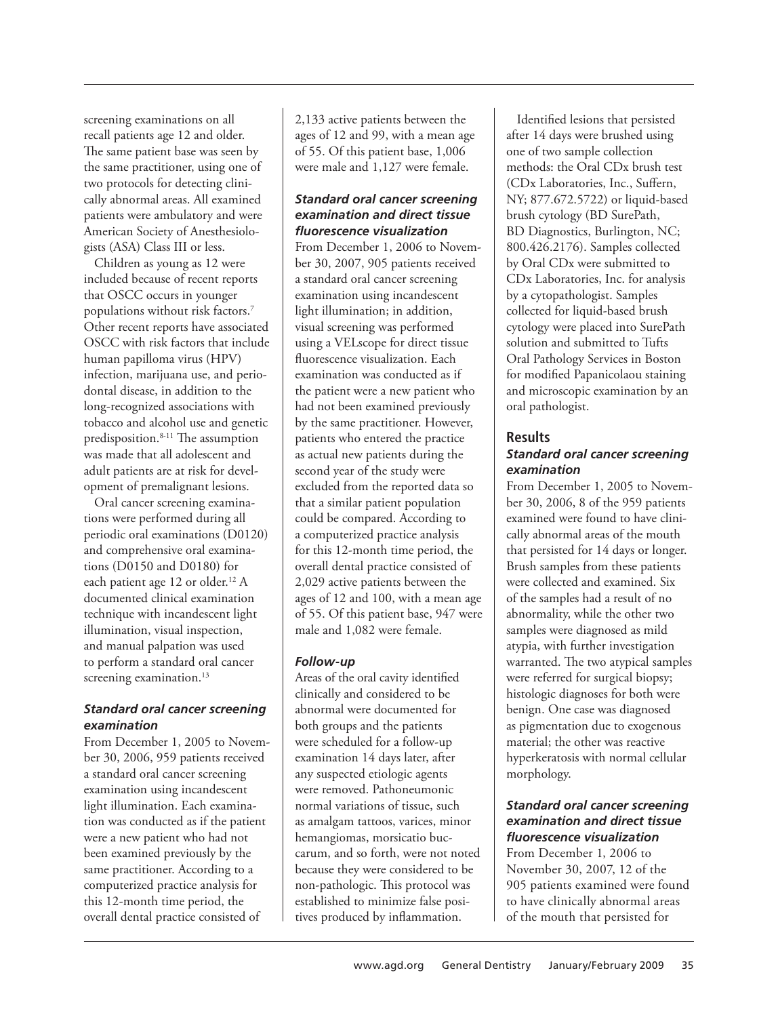screening examinations on all recall patients age 12 and older. The same patient base was seen by the same practitioner, using one of two protocols for detecting clinically abnormal areas. All examined patients were ambulatory and were American Society of Anesthesiologists (ASA) Class III or less.

Children as young as 12 were included because of recent reports that OSCC occurs in younger populations without risk factors.7 Other recent reports have associated OSCC with risk factors that include human papilloma virus (HPV) infection, marijuana use, and periodontal disease, in addition to the long-recognized associations with tobacco and alcohol use and genetic predisposition.8-11 The assumption was made that all adolescent and adult patients are at risk for development of premalignant lesions.

Oral cancer screening examinations were performed during all periodic oral examinations (D0120) and comprehensive oral examinations (D0150 and D0180) for each patient age 12 or older.<sup>12</sup> A documented clinical examination technique with incandescent light illumination, visual inspection, and manual palpation was used to perform a standard oral cancer screening examination.<sup>13</sup>

#### *Standard oral cancer screening examination*

From December 1, 2005 to November 30, 2006, 959 patients received a standard oral cancer screening examination using incandescent light illumination. Each examination was conducted as if the patient were a new patient who had not been examined previously by the same practitioner. According to a computerized practice analysis for this 12-month time period, the overall dental practice consisted of

2,133 active patients between the ages of 12 and 99, with a mean age of 55. Of this patient base, 1,006 were male and 1,127 were female.

# *Standard oral cancer screening examination and direct tissue fluorescence visualization*

From December 1, 2006 to November 30, 2007, 905 patients received a standard oral cancer screening examination using incandescent light illumination; in addition, visual screening was performed using a VELscope for direct tissue fluorescence visualization. Each examination was conducted as if the patient were a new patient who had not been examined previously by the same practitioner. However, patients who entered the practice as actual new patients during the second year of the study were excluded from the reported data so that a similar patient population could be compared. According to a computerized practice analysis for this 12-month time period, the overall dental practice consisted of 2,029 active patients between the ages of 12 and 100, with a mean age of 55. Of this patient base, 947 were male and 1,082 were female.

## *Follow-up*

Areas of the oral cavity identified clinically and considered to be abnormal were documented for both groups and the patients were scheduled for a follow-up examination 14 days later, after any suspected etiologic agents were removed. Pathoneumonic normal variations of tissue, such as amalgam tattoos, varices, minor hemangiomas, morsicatio buccarum, and so forth, were not noted because they were considered to be non-pathologic. This protocol was established to minimize false positives produced by inflammation.

Identified lesions that persisted after 14 days were brushed using one of two sample collection methods: the Oral CDx brush test (CDx Laboratories, Inc., Suffern, NY; 877.672.5722) or liquid-based brush cytology (BD SurePath, BD Diagnostics, Burlington, NC; 800.426.2176). Samples collected by Oral CDx were submitted to CDx Laboratories, Inc. for analysis by a cytopathologist. Samples collected for liquid-based brush cytology were placed into SurePath solution and submitted to Tufts Oral Pathology Services in Boston for modified Papanicolaou staining and microscopic examination by an oral pathologist.

# **Results** *Standard oral cancer screening examination*

From December 1, 2005 to November 30, 2006, 8 of the 959 patients examined were found to have clinically abnormal areas of the mouth that persisted for 14 days or longer. Brush samples from these patients were collected and examined. Six of the samples had a result of no abnormality, while the other two samples were diagnosed as mild atypia, with further investigation warranted. The two atypical samples were referred for surgical biopsy; histologic diagnoses for both were benign. One case was diagnosed as pigmentation due to exogenous material; the other was reactive hyperkeratosis with normal cellular morphology.

## *Standard oral cancer screening examination and direct tissue fluorescence visualization*

From December 1, 2006 to November 30, 2007, 12 of the 905 patients examined were found to have clinically abnormal areas of the mouth that persisted for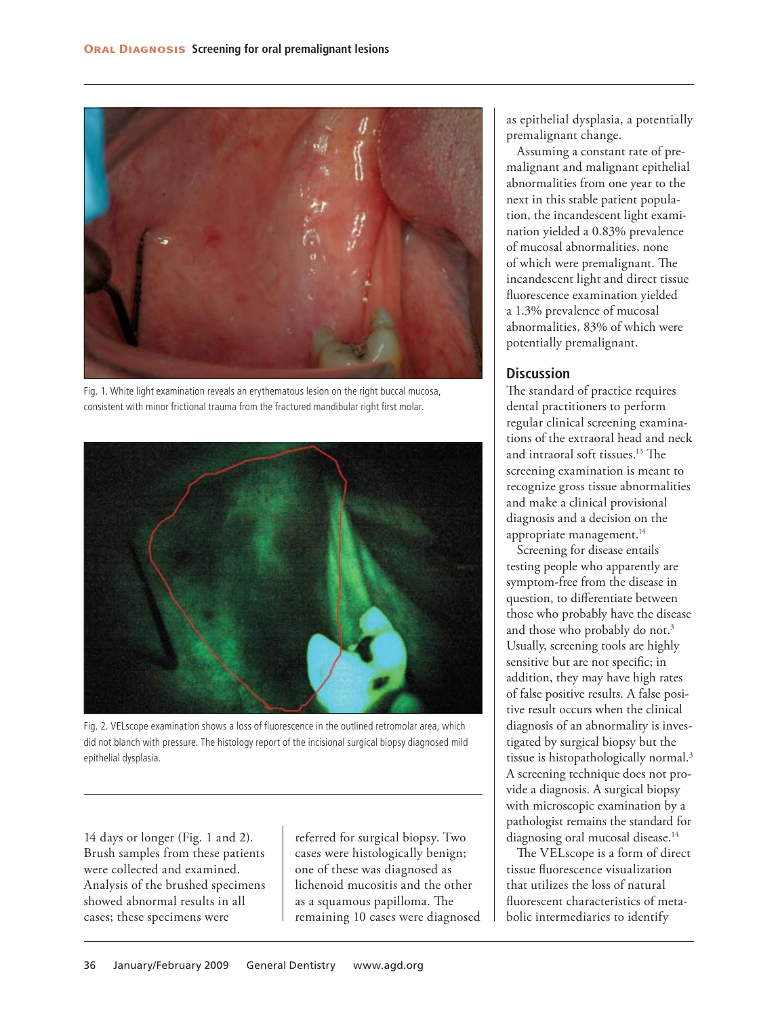

Fig. 1. White light examination reveals an erythematous lesion on the right buccal mucosa, consistent with minor frictional trauma from the fractured mandibular right first molar.



Fig. 2. VELscope examination shows a loss of fluorescence in the outlined retromolar area, which did not blanch with pressure. The histology report of the incisional surgical biopsy diagnosed mild epithelial dysplasia.

14 days or longer (Fig. 1 and 2). Brush samples from these patients were collected and examined. Analysis of the brushed specimens showed abnormal results in all cases; these specimens were

referred for surgical biopsy. Two cases were histologically benign; one of these was diagnosed as lichenoid mucositis and the other as a squamous papilloma. The remaining 10 cases were diagnosed as epithelial dysplasia, a potentially premalignant change.

Assuming a constant rate of premalignant and malignant epithelial abnormalities from one year to the next in this stable patient population, the incandescent light examination yielded a 0.83% prevalence of mucosal abnormalities, none of which were premalignant. The incandescent light and direct tissue fluorescence examination yielded a 1.3% prevalence of mucosal abnormalities, 83% of which were potentially premalignant.

## **Discussion**

The standard of practice requires dental practitioners to perform regular clinical screening examinations of the extraoral head and neck and intraoral soft tissues.13 The screening examination is meant to recognize gross tissue abnormalities and make a clinical provisional diagnosis and a decision on the appropriate management.<sup>14</sup>

Screening for disease entails testing people who apparently are symptom-free from the disease in question, to differentiate between those who probably have the disease and those who probably do not.3 Usually, screening tools are highly sensitive but are not specific; in addition, they may have high rates of false positive results. A false positive result occurs when the clinical diagnosis of an abnormality is investigated by surgical biopsy but the tissue is histopathologically normal.3 A screening technique does not provide a diagnosis. A surgical biopsy with microscopic examination by a pathologist remains the standard for diagnosing oral mucosal disease.<sup>14</sup>

The VELscope is a form of direct tissue fluorescence visualization that utilizes the loss of natural fluorescent characteristics of metabolic intermediaries to identify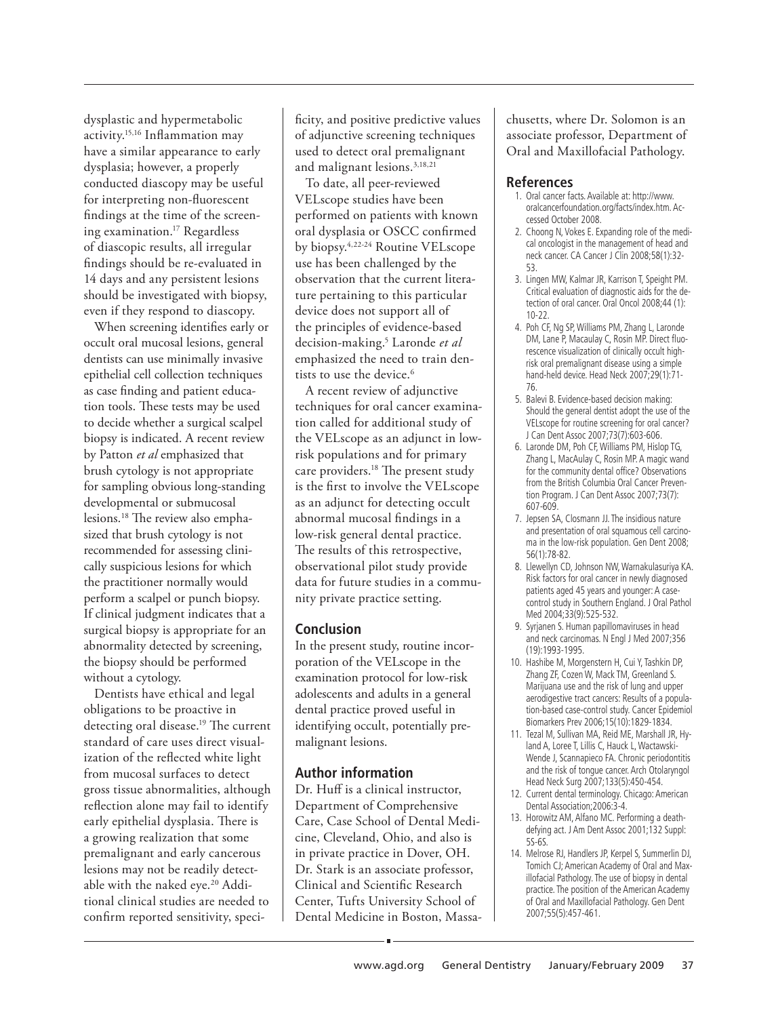dysplastic and hypermetabolic activity.15,16 Inflammation may have a similar appearance to early dysplasia; however, a properly conducted diascopy may be useful for interpreting non-fluorescent findings at the time of the screening examination.17 Regardless of diascopic results, all irregular findings should be re-evaluated in 14 days and any persistent lesions should be investigated with biopsy, even if they respond to diascopy.

When screening identifies early or occult oral mucosal lesions, general dentists can use minimally invasive epithelial cell collection techniques as case finding and patient education tools. These tests may be used to decide whether a surgical scalpel biopsy is indicated. A recent review by Patton *et al* emphasized that brush cytology is not appropriate for sampling obvious long-standing developmental or submucosal lesions.18 The review also emphasized that brush cytology is not recommended for assessing clinically suspicious lesions for which the practitioner normally would perform a scalpel or punch biopsy. If clinical judgment indicates that a surgical biopsy is appropriate for an abnormality detected by screening, the biopsy should be performed without a cytology.

Dentists have ethical and legal obligations to be proactive in detecting oral disease.<sup>19</sup> The current standard of care uses direct visualization of the reflected white light from mucosal surfaces to detect gross tissue abnormalities, although reflection alone may fail to identify early epithelial dysplasia. There is a growing realization that some premalignant and early cancerous lesions may not be readily detectable with the naked eye.20 Additional clinical studies are needed to confirm reported sensitivity, speci-

ficity, and positive predictive values of adjunctive screening techniques used to detect oral premalignant and malignant lesions.3,18,21

To date, all peer-reviewed VELscope studies have been performed on patients with known oral dysplasia or OSCC confirmed by biopsy.4,22-24 Routine VELscope use has been challenged by the observation that the current literature pertaining to this particular device does not support all of the principles of evidence-based decision-making.5 Laronde *et al* emphasized the need to train dentists to use the device.<sup>6</sup>

A recent review of adjunctive techniques for oral cancer examination called for additional study of the VELscope as an adjunct in lowrisk populations and for primary care providers.<sup>18</sup> The present study is the first to involve the VELscope as an adjunct for detecting occult abnormal mucosal findings in a low-risk general dental practice. The results of this retrospective, observational pilot study provide data for future studies in a community private practice setting.

## **Conclusion**

In the present study, routine incorporation of the VELscope in the examination protocol for low-risk adolescents and adults in a general dental practice proved useful in identifying occult, potentially premalignant lesions.

## **Author information**

Dr. Huff is a clinical instructor, Department of Comprehensive Care, Case School of Dental Medicine, Cleveland, Ohio, and also is in private practice in Dover, OH. Dr. Stark is an associate professor, Clinical and Scientific Research Center, Tufts University School of Dental Medicine in Boston, Massachusetts, where Dr. Solomon is an associate professor, Department of Oral and Maxillofacial Pathology.

#### **References**

- 1. Oral cancer facts. Available at: http://www. oralcancerfoundation.org/facts/index.htm. Accessed October 2008.
- 2. Choong N, Vokes E. Expanding role of the medical oncologist in the management of head and neck cancer. CA Cancer J Clin 2008;58(1):32- 53.
- 3. Lingen MW, Kalmar JR, Karrison T, Speight PM. Critical evaluation of diagnostic aids for the detection of oral cancer. Oral Oncol 2008;44 (1): 10-22.
- 4. Poh CF, Ng SP, Williams PM, Zhang L, Laronde DM, Lane P, Macaulay C, Rosin MP. Direct fluorescence visualization of clinically occult highrisk oral premalignant disease using a simple hand-held device. Head Neck 2007;29(1):71- 76.
- 5. Balevi B. Evidence-based decision making: Should the general dentist adopt the use of the VELscope for routine screening for oral cancer? J Can Dent Assoc 2007;73(7):603-606.
- 6. Laronde DM, Poh CF, Williams PM, Hislop TG, Zhang L, MacAulay C, Rosin MP. A magic wand for the community dental office? Observations from the British Columbia Oral Cancer Prevention Program. J Can Dent Assoc 2007;73(7): 607-609.
- 7. Jepsen SA, Closmann JJ. The insidious nature and presentation of oral squamous cell carcinoma in the low-risk population. Gen Dent 2008; 56(1):78-82.
- 8. Llewellyn CD, Johnson NW, Warnakulasuriya KA. Risk factors for oral cancer in newly diagnosed patients aged 45 years and younger: A casecontrol study in Southern England. J Oral Pathol Med 2004;33(9):525-532.
- 9. Syrjanen S. Human papillomaviruses in head and neck carcinomas. N Engl J Med 2007;356 (19):1993-1995.
- 10. Hashibe M, Morgenstern H, Cui Y, Tashkin DP, Zhang ZF, Cozen W, Mack TM, Greenland S. Marijuana use and the risk of lung and upper aerodigestive tract cancers: Results of a population-based case-control study. Cancer Epidemiol Biomarkers Prev 2006;15(10):1829-1834.
- 11. Tezal M, Sullivan MA, Reid ME, Marshall JR, Hyland A, Loree T, Lillis C, Hauck L, Wactawski-Wende J, Scannapieco FA. Chronic periodontitis and the risk of tongue cancer. Arch Otolaryngol Head Neck Surg 2007;133(5):450-454.
- 12. Current dental terminology. Chicago: American Dental Association;2006:3-4.
- 13. Horowitz AM, Alfano MC. Performing a deathdefying act. J Am Dent Assoc 2001;132 Suppl: 5S-6S.
- 14. Melrose RJ, Handlers JP, Kerpel S, Summerlin DJ, Tomich CJ; American Academy of Oral and Maxillofacial Pathology. The use of biopsy in dental practice. The position of the American Academy of Oral and Maxillofacial Pathology. Gen Dent 2007;55(5):457-461.